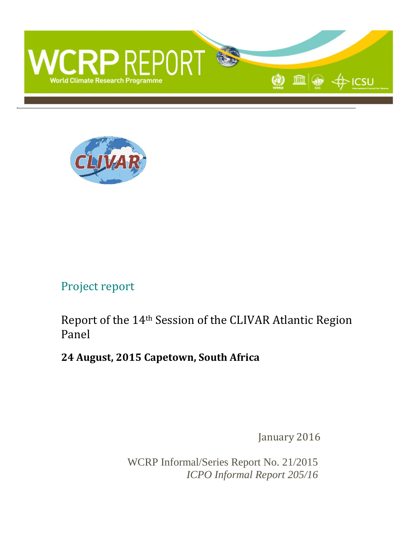



### Project report

Report of the 14th Session of the CLIVAR Atlantic Region Panel

### **24 August, 2015 Capetown, South Africa**

January 2016

WCRP Informal/Series Report No. 21/2015 *ICPO Informal Report 205/16*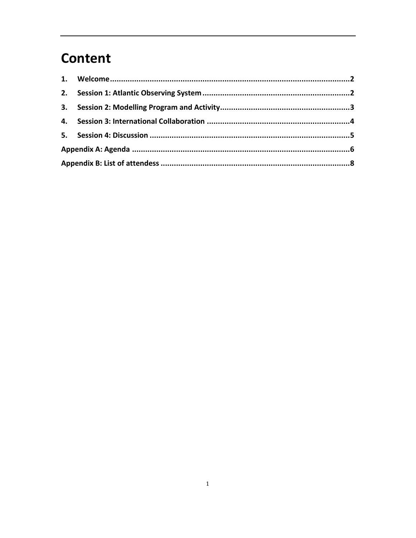## **Content**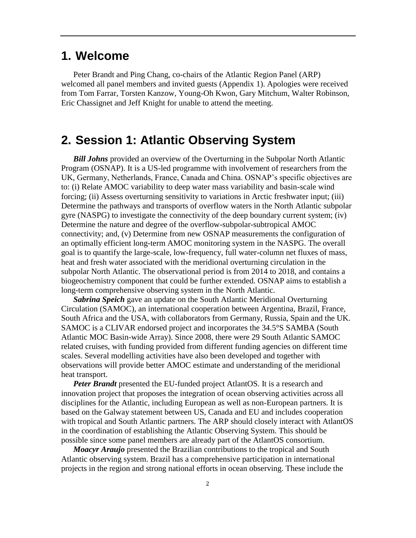### <span id="page-2-0"></span>**1. Welcome**

Peter Brandt and Ping Chang, co-chairs of the Atlantic Region Panel (ARP) welcomed all panel members and invited guests (Appendix 1). Apologies were received from Tom Farrar, Torsten Kanzow, Young-Oh Kwon, Gary Mitchum, Walter Robinson, Eric Chassignet and Jeff Knight for unable to attend the meeting.

#### <span id="page-2-1"></span>**2. Session 1: Atlantic Observing System**

*Bill Johns* provided an overview of the Overturning in the Subpolar North Atlantic Program (OSNAP). It is a US-led programme with involvement of researchers from the UK, Germany, Netherlands, France, Canada and China. OSNAP's specific objectives are to: (i) Relate AMOC variability to deep water mass variability and basin-scale wind forcing; (ii) Assess overturning sensitivity to variations in Arctic freshwater input; (iii) Determine the pathways and transports of overflow waters in the North Atlantic subpolar gyre (NASPG) to investigate the connectivity of the deep boundary current system; (iv) Determine the nature and degree of the overflow-subpolar-subtropical AMOC connectivity; and, (v) Determine from new OSNAP measurements the configuration of an optimally efficient long-term AMOC monitoring system in the NASPG. The overall goal is to quantify the large-scale, low-frequency, full water-column net fluxes of mass, heat and fresh water associated with the meridional overturning circulation in the subpolar North Atlantic. The observational period is from 2014 to 2018, and contains a biogeochemistry component that could be further extended. OSNAP aims to establish a long-term comprehensive observing system in the North Atlantic.

*Sabrina Speich* gave an update on the South Atlantic Meridional Overturning Circulation (SAMOC), an international cooperation between Argentina, Brazil, France, South Africa and the USA, with collaborators from Germany, Russia, Spain and the UK. SAMOC is a CLIVAR endorsed project and incorporates the 34.5°S SAMBA (South Atlantic MOC Basin-wide Array). Since 2008, there were 29 South Atlantic SAMOC related cruises, with funding provided from different funding agencies on different time scales. Several modelling activities have also been developed and together with observations will provide better AMOC estimate and understanding of the meridional heat transport.

*Peter Brandt* presented the EU-funded project AtlantOS. It is a research and innovation project that proposes the integration of ocean observing activities across all disciplines for the Atlantic, including European as well as non-European partners. It is based on the Galway statement between US, Canada and EU and includes cooperation with tropical and South Atlantic partners. The ARP should closely interact with AtlantOS in the coordination of establishing the Atlantic Observing System. This should be possible since some panel members are already part of the AtlantOS consortium.

*Moacyr Araujo* presented the Brazilian contributions to the tropical and South Atlantic observing system. Brazil has a comprehensive participation in international projects in the region and strong national efforts in ocean observing. These include the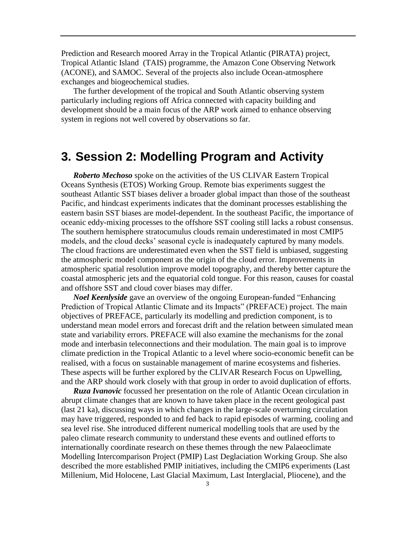Prediction and Research moored Array in the Tropical Atlantic (PIRATA) project, Tropical Atlantic Island (TAIS) programme, the Amazon Cone Observing Network (ACONE), and SAMOC. Several of the projects also include Ocean-atmosphere exchanges and biogeochemical studies.

The further development of the tropical and South Atlantic observing system particularly including regions off Africa connected with capacity building and development should be a main focus of the ARP work aimed to enhance observing system in regions not well covered by observations so far.

### <span id="page-3-0"></span>**3. Session 2: Modelling Program and Activity**

*Roberto Mechoso* spoke on the activities of the US CLIVAR Eastern Tropical Oceans Synthesis (ETOS) Working Group. Remote bias experiments suggest the southeast Atlantic SST biases deliver a broader global impact than those of the southeast Pacific, and hindcast experiments indicates that the dominant processes establishing the eastern basin SST biases are model-dependent. In the southeast Pacific, the importance of oceanic eddy-mixing processes to the offshore SST cooling still lacks a robust consensus. The southern hemisphere stratocumulus clouds remain underestimated in most CMIP5 models, and the cloud decks' seasonal cycle is inadequately captured by many models. The cloud fractions are underestimated even when the SST field is unbiased, suggesting the atmospheric model component as the origin of the cloud error. Improvements in atmospheric spatial resolution improve model topography, and thereby better capture the coastal atmospheric jets and the equatorial cold tongue. For this reason, causes for coastal and offshore SST and cloud cover biases may differ.

*Noel Keenlyside* gave an overview of the ongoing European-funded "Enhancing Prediction of Tropical Atlantic Climate and its Impacts" (PREFACE) project. The main objectives of PREFACE, particularly its modelling and prediction component, is to understand mean model errors and forecast drift and the relation between simulated mean state and variability errors. PREFACE will also examine the mechanisms for the zonal mode and interbasin teleconnections and their modulation. The main goal is to improve climate prediction in the Tropical Atlantic to a level where socio-economic benefit can be realised, with a focus on sustainable management of marine ecosystems and fisheries. These aspects will be further explored by the CLIVAR Research Focus on Upwelling, and the ARP should work closely with that group in order to avoid duplication of efforts.

*Ruza Ivanovic* focussed her presentation on the role of Atlantic Ocean circulation in abrupt climate changes that are known to have taken place in the recent geological past (last 21 ka), discussing ways in which changes in the large-scale overturning circulation may have triggered, responded to and fed back to rapid episodes of warming, cooling and sea level rise. She introduced different numerical modelling tools that are used by the paleo climate research community to understand these events and outlined efforts to internationally coordinate research on these themes through the new Palaeoclimate Modelling Intercomparison Project (PMIP) Last Deglaciation Working Group. She also described the more established PMIP initiatives, including the CMIP6 experiments (Last Millenium, Mid Holocene, Last Glacial Maximum, Last Interglacial, Pliocene), and the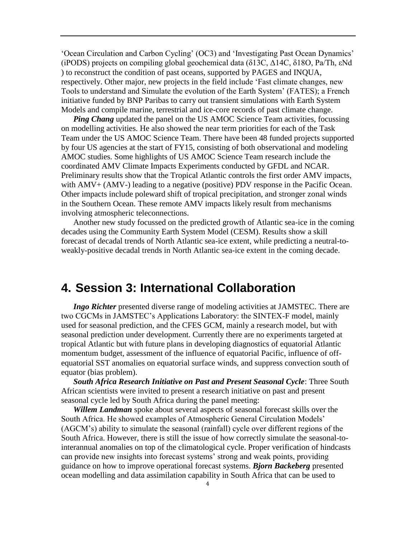'Ocean Circulation and Carbon Cycling' (OC3) and 'Investigating Past Ocean Dynamics' (iPODS) projects on compiling global geochemical data (δ13C, Δ14C, δ18O, Pa/Th, εNd ) to reconstruct the condition of past oceans, supported by PAGES and INQUA, respectively. Other major, new projects in the field include 'Fast climate changes, new Tools to understand and Simulate the evolution of the Earth System' (FATES); a French initiative funded by BNP Paribas to carry out transient simulations with Earth System Models and compile marine, terrestrial and ice-core records of past climate change.

*Ping Chang* updated the panel on the US AMOC Science Team activities, focussing on modelling activities. He also showed the near term priorities for each of the Task Team under the US AMOC Science Team. There have been 48 funded projects supported by four US agencies at the start of FY15, consisting of both observational and modeling AMOC studies. Some highlights of US AMOC Science Team research include the coordinated AMV Climate Impacts Experiments conducted by GFDL and NCAR. Preliminary results show that the Tropical Atlantic controls the first order AMV impacts, with AMV+ (AMV-) leading to a negative (positive) PDV response in the Pacific Ocean. Other impacts include poleward shift of tropical precipitation, and stronger zonal winds in the Southern Ocean. These remote AMV impacts likely result from mechanisms involving atmospheric teleconnections.

Another new study focussed on the predicted growth of Atlantic sea-ice in the coming decades using the Community Earth System Model (CESM). Results show a skill forecast of decadal trends of North Atlantic sea-ice extent, while predicting a neutral-toweakly-positive decadal trends in North Atlantic sea-ice extent in the coming decade.

#### <span id="page-4-0"></span>**4. Session 3: International Collaboration**

*Ingo Richter* presented diverse range of modeling activities at JAMSTEC. There are two CGCMs in JAMSTEC's Applications Laboratory: the SINTEX-F model, mainly used for seasonal prediction, and the CFES GCM, mainly a research model, but with seasonal prediction under development. Currently there are no experiments targeted at tropical Atlantic but with future plans in developing diagnostics of equatorial Atlantic momentum budget, assessment of the influence of equatorial Pacific, influence of offequatorial SST anomalies on equatorial surface winds, and suppress convection south of equator (bias problem).

*South Africa Research Initiative on Past and Present Seasonal Cycle*: Three South African scientists were invited to present a research initiative on past and present seasonal cycle led by South Africa during the panel meeting:

*Willem Landman* spoke about several aspects of seasonal forecast skills over the South Africa. He showed examples of Atmospheric General Circulation Models' (AGCM's) ability to simulate the seasonal (rainfall) cycle over different regions of the South Africa. However, there is still the issue of how correctly simulate the seasonal-tointerannual anomalies on top of the climatological cycle. Proper verification of hindcasts can provide new insights into forecast systems' strong and weak points, providing guidance on how to improve operational forecast systems. *Bjorn Backeberg* presented ocean modelling and data assimilation capability in South Africa that can be used to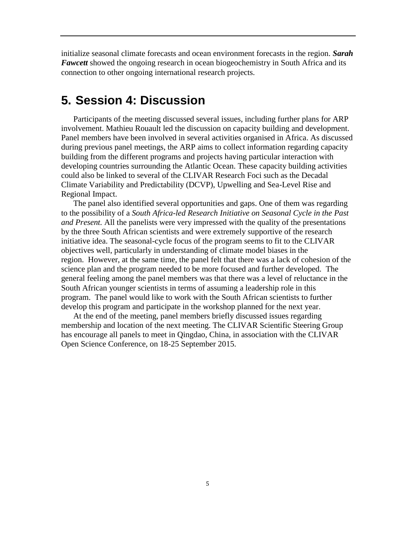initialize seasonal climate forecasts and ocean environment forecasts in the region. *Sarah Fawcett* showed the ongoing research in ocean biogeochemistry in South Africa and its connection to other ongoing international research projects.

#### <span id="page-5-0"></span>**5. Session 4: Discussion**

Participants of the meeting discussed several issues, including further plans for ARP involvement. Mathieu Rouault led the discussion on capacity building and development. Panel members have been involved in several activities organised in Africa. As discussed during previous panel meetings, the ARP aims to collect information regarding capacity building from the different programs and projects having particular interaction with developing countries surrounding the Atlantic Ocean. These capacity building activities could also be linked to several of the CLIVAR Research Foci such as the Decadal Climate Variability and Predictability (DCVP), Upwelling and Sea-Level Rise and Regional Impact.

The panel also identified several opportunities and gaps. One of them was regarding to the possibility of a *South Africa-led Research Initiative on Seasonal Cycle in the Past and Present.* All the panelists were very impressed with the quality of the presentations by the three South African scientists and were extremely supportive of the research initiative idea. The seasonal-cycle focus of the program seems to fit to the CLIVAR objectives well, particularly in understanding of climate model biases in the region. However, at the same time, the panel felt that there was a lack of cohesion of the science plan and the program needed to be more focused and further developed. The general feeling among the panel members was that there was a level of reluctance in the South African younger scientists in terms of assuming a leadership role in this program. The panel would like to work with the South African scientists to further develop this program and participate in the workshop planned for the next year.

At the end of the meeting, panel members briefly discussed issues regarding membership and location of the next meeting. The CLIVAR Scientific Steering Group has encourage all panels to meet in Qingdao, China, in association with the CLIVAR Open Science Conference, on 18-25 September 2015.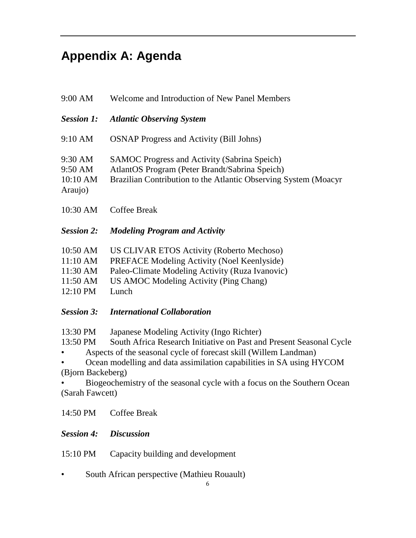# <span id="page-6-0"></span>**Appendix A: Agenda**

|                                                                               | 9:00 AM<br>Welcome and Introduction of New Panel Members |                                                                                                                                                                                                                                                                                                                                          |  |
|-------------------------------------------------------------------------------|----------------------------------------------------------|------------------------------------------------------------------------------------------------------------------------------------------------------------------------------------------------------------------------------------------------------------------------------------------------------------------------------------------|--|
| <b>Session 1:</b>                                                             |                                                          | <b>Atlantic Observing System</b>                                                                                                                                                                                                                                                                                                         |  |
| 9:10 AM                                                                       |                                                          | <b>OSNAP Progress and Activity (Bill Johns)</b>                                                                                                                                                                                                                                                                                          |  |
| 9:30 AM<br>9:50 AM<br>10:10 AM<br>Araujo)                                     |                                                          | <b>SAMOC Progress and Activity (Sabrina Speich)</b><br>AtlantOS Program (Peter Brandt/Sabrina Speich)<br>Brazilian Contribution to the Atlantic Observing System (Moacyr                                                                                                                                                                 |  |
| 10:30 AM                                                                      |                                                          | <b>Coffee Break</b>                                                                                                                                                                                                                                                                                                                      |  |
| <b>Session 2:</b>                                                             |                                                          | <b>Modeling Program and Activity</b>                                                                                                                                                                                                                                                                                                     |  |
| 10:50 AM<br>11:10 AM<br>11:30 AM<br>11:50 AM<br>12:10 PM<br><b>Session 3:</b> |                                                          | US CLIVAR ETOS Activity (Roberto Mechoso)<br>PREFACE Modeling Activity (Noel Keenlyside)<br>Paleo-Climate Modeling Activity (Ruza Ivanovic)<br>US AMOC Modeling Activity (Ping Chang)<br>Lunch<br><b>International Collaboration</b>                                                                                                     |  |
| 13:30 PM<br>13:50 PM<br>(Bjorn Backeberg)<br>(Sarah Fawcett)                  |                                                          | Japanese Modeling Activity (Ingo Richter)<br>South Africa Research Initiative on Past and Present Seasonal Cycle<br>Aspects of the seasonal cycle of forecast skill (Willem Landman)<br>Ocean modelling and data assimilation capabilities in SA using HYCOM<br>Biogeochemistry of the seasonal cycle with a focus on the Southern Ocean |  |
| 14:50 PM                                                                      |                                                          | <b>Coffee Break</b>                                                                                                                                                                                                                                                                                                                      |  |
| <b>Session 4:</b>                                                             |                                                          | <b>Discussion</b>                                                                                                                                                                                                                                                                                                                        |  |
| 15:10 PM                                                                      |                                                          | Capacity building and development                                                                                                                                                                                                                                                                                                        |  |
|                                                                               |                                                          | South African perspective (Mathieu Rouault)                                                                                                                                                                                                                                                                                              |  |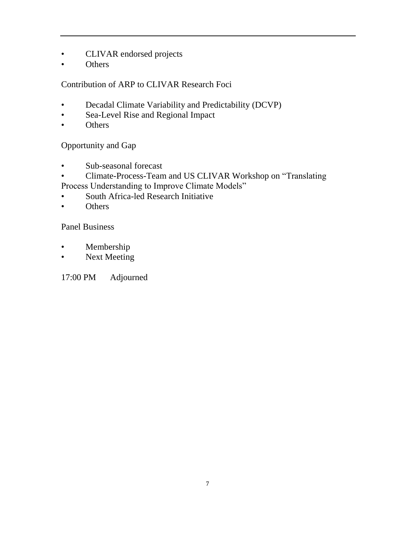- CLIVAR endorsed projects
- **Others**

#### Contribution of ARP to CLIVAR Research Foci

- Decadal Climate Variability and Predictability (DCVP)
- Sea-Level Rise and Regional Impact
- Others

Opportunity and Gap

- Sub-seasonal forecast
- Climate-Process-Team and US CLIVAR Workshop on "Translating Process Understanding to Improve Climate Models"
- South Africa-led Research Initiative
- Others

Panel Business

- Membership
- Next Meeting

17:00 PM Adjourned